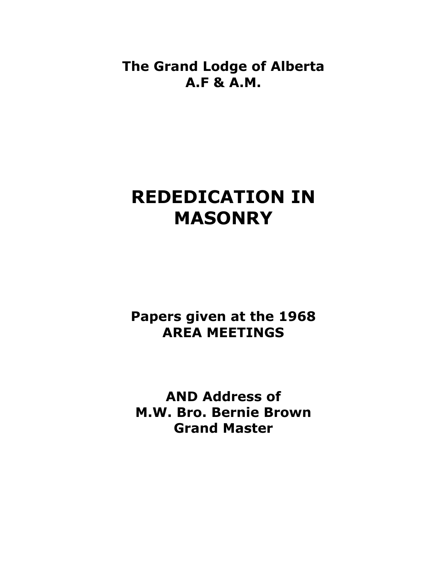**The Grand Lodge of Alberta A.F & A.M.** 

## **REDEDICATION IN MASONRY**

**Papers given at the 1968 AREA MEETINGS** 

**AND Address of M.W. Bro. Bernie Brown Grand Master**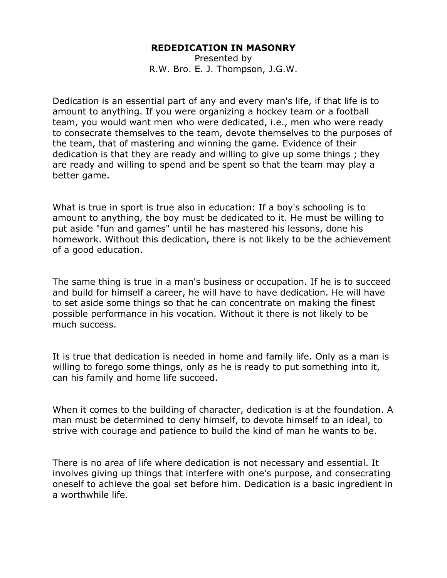## **REDEDICATION IN MASONRY**

Presented by R.W. Bro. E. J. Thompson, J.G.W.

Dedication is an essential part of any and every man's life, if that life is to amount to anything. If you were organizing a hockey team or a football team, you would want men who were dedicated, i.e., men who were ready to consecrate themselves to the team, devote themselves to the purposes of the team, that of mastering and winning the game. Evidence of their dedication is that they are ready and willing to give up some things ; they are ready and willing to spend and be spent so that the team may play a better game.

What is true in sport is true also in education: If a boy's schooling is to amount to anything, the boy must be dedicated to it. He must be willing to put aside "fun and games" until he has mastered his lessons, done his homework. Without this dedication, there is not likely to be the achievement of a good education.

The same thing is true in a man's business or occupation. If he is to succeed and build for himself a career, he will have to have dedication. He will have to set aside some things so that he can concentrate on making the finest possible performance in his vocation. Without it there is not likely to be much success.

It is true that dedication is needed in home and family life. Only as a man is willing to forego some things, only as he is ready to put something into it, can his family and home life succeed.

When it comes to the building of character, dedication is at the foundation. A man must be determined to deny himself, to devote himself to an ideal, to strive with courage and patience to build the kind of man he wants to be.

There is no area of life where dedication is not necessary and essential. It involves giving up things that interfere with one's purpose, and consecrating oneself to achieve the goal set before him. Dedication is a basic ingredient in a worthwhile life.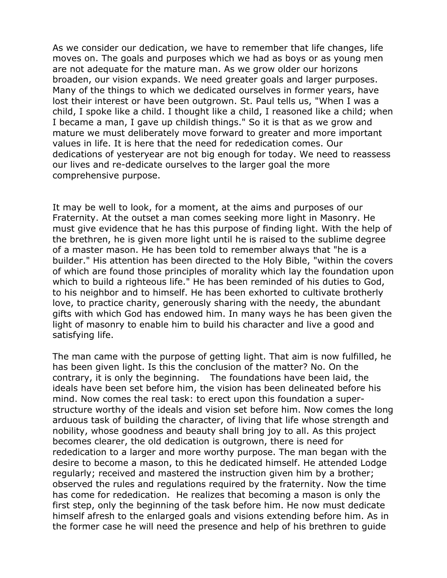As we consider our dedication, we have to remember that life changes, life moves on. The goals and purposes which we had as boys or as young men are not adequate for the mature man. As we grow older our horizons broaden, our vision expands. We need greater goals and larger purposes. Many of the things to which we dedicated ourselves in former years, have lost their interest or have been outgrown. St. Paul tells us, "When I was a child, I spoke like a child. I thought like a child, I reasoned like a child; when I became a man, I gave up childish things." So it is that as we grow and mature we must deliberately move forward to greater and more important values in life. It is here that the need for rededication comes. Our dedications of yesteryear are not big enough for today. We need to reassess our lives and re-dedicate ourselves to the larger goal the more comprehensive purpose.

It may be well to look, for a moment, at the aims and purposes of our Fraternity. At the outset a man comes seeking more light in Masonry. He must give evidence that he has this purpose of finding light. With the help of the brethren, he is given more light until he is raised to the sublime degree of a master mason. He has been told to remember always that "he is a builder." His attention has been directed to the Holy Bible, "within the covers of which are found those principles of morality which lay the foundation upon which to build a righteous life." He has been reminded of his duties to God, to his neighbor and to himself. He has been exhorted to cultivate brotherly love, to practice charity, generously sharing with the needy, the abundant gifts with which God has endowed him. In many ways he has been given the light of masonry to enable him to build his character and live a good and satisfying life.

The man came with the purpose of getting light. That aim is now fulfilled, he has been given light. Is this the conclusion of the matter? No. On the contrary, it is only the beginning. The foundations have been laid, the ideals have been set before him, the vision has been delineated before his mind. Now comes the real task: to erect upon this foundation a superstructure worthy of the ideals and vision set before him. Now comes the long arduous task of building the character, of living that life whose strength and nobility, whose goodness and beauty shall bring joy to all. As this project becomes clearer, the old dedication is outgrown, there is need for rededication to a larger and more worthy purpose. The man began with the desire to become a mason, to this he dedicated himself. He attended Lodge regularly; received and mastered the instruction given him by a brother; observed the rules and regulations required by the fraternity. Now the time has come for rededication. He realizes that becoming a mason is only the first step, only the beginning of the task before him. He now must dedicate himself afresh to the enlarged goals and visions extending before him. As in the former case he will need the presence and help of his brethren to guide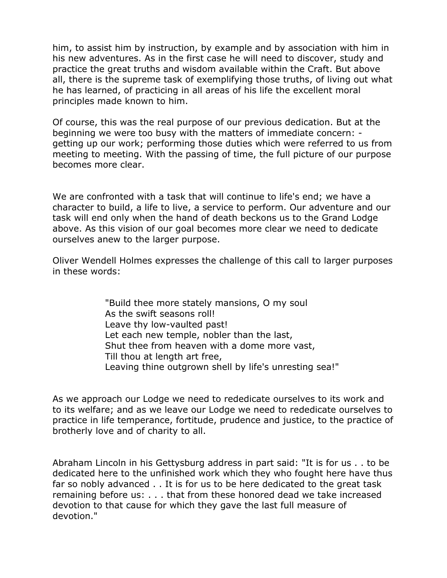him, to assist him by instruction, by example and by association with him in his new adventures. As in the first case he will need to discover, study and practice the great truths and wisdom available within the Craft. But above all, there is the supreme task of exemplifying those truths, of living out what he has learned, of practicing in all areas of his life the excellent moral principles made known to him.

Of course, this was the real purpose of our previous dedication. But at the beginning we were too busy with the matters of immediate concern: getting up our work; performing those duties which were referred to us from meeting to meeting. With the passing of time, the full picture of our purpose becomes more clear.

We are confronted with a task that will continue to life's end; we have a character to build, a life to live, a service to perform. Our adventure and our task will end only when the hand of death beckons us to the Grand Lodge above. As this vision of our goal becomes more clear we need to dedicate ourselves anew to the larger purpose.

Oliver Wendell Holmes expresses the challenge of this call to larger purposes in these words:

> "Build thee more stately mansions, O my soul As the swift seasons roll! Leave thy low-vaulted past! Let each new temple, nobler than the last, Shut thee from heaven with a dome more vast, Till thou at length art free, Leaving thine outgrown shell by life's unresting sea!"

As we approach our Lodge we need to rededicate ourselves to its work and to its welfare; and as we leave our Lodge we need to rededicate ourselves to practice in life temperance, fortitude, prudence and justice, to the practice of brotherly love and of charity to all.

Abraham Lincoln in his Gettysburg address in part said: "It is for us . . to be dedicated here to the unfinished work which they who fought here have thus far so nobly advanced . . It is for us to be here dedicated to the great task remaining before us: . . . that from these honored dead we take increased devotion to that cause for which they gave the last full measure of devotion."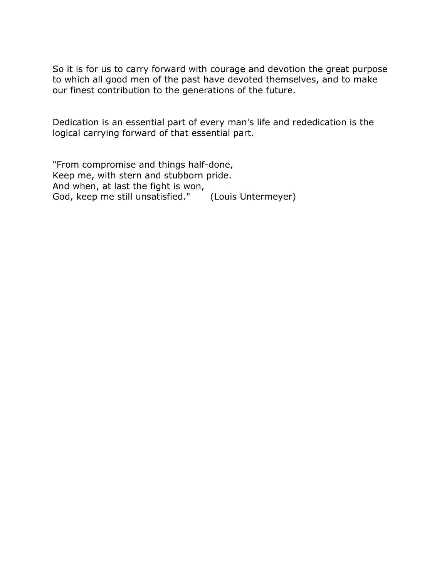So it is for us to carry forward with courage and devotion the great purpose to which all good men of the past have devoted themselves, and to make our finest contribution to the generations of the future.

Dedication is an essential part of every man's life and rededication is the logical carrying forward of that essential part.

"From compromise and things half-done, Keep me, with stern and stubborn pride. And when, at last the fight is won, God, keep me still unsatisfied." (Louis Untermeyer)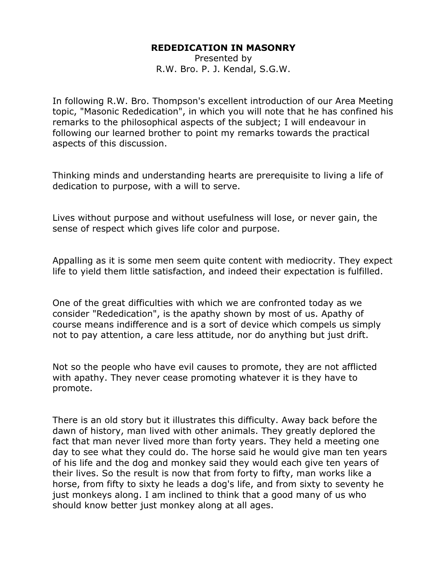## **REDEDICATION IN MASONRY**

Presented by R.W. Bro. P. J. Kendal, S.G.W.

In following R.W. Bro. Thompson's excellent introduction of our Area Meeting topic, "Masonic Rededication", in which you will note that he has confined his remarks to the philosophical aspects of the subject; I will endeavour in following our learned brother to point my remarks towards the practical aspects of this discussion.

Thinking minds and understanding hearts are prerequisite to living a life of dedication to purpose, with a will to serve.

Lives without purpose and without usefulness will lose, or never gain, the sense of respect which gives life color and purpose.

Appalling as it is some men seem quite content with mediocrity. They expect life to yield them little satisfaction, and indeed their expectation is fulfilled.

One of the great difficulties with which we are confronted today as we consider "Rededication", is the apathy shown by most of us. Apathy of course means indifference and is a sort of device which compels us simply not to pay attention, a care less attitude, nor do anything but just drift.

Not so the people who have evil causes to promote, they are not afflicted with apathy. They never cease promoting whatever it is they have to promote.

There is an old story but it illustrates this difficulty. Away back before the dawn of history, man lived with other animals. They greatly deplored the fact that man never lived more than forty years. They held a meeting one day to see what they could do. The horse said he would give man ten years of his life and the dog and monkey said they would each give ten years of their lives. So the result is now that from forty to fifty, man works like a horse, from fifty to sixty he leads a dog's life, and from sixty to seventy he just monkeys along. I am inclined to think that a good many of us who should know better just monkey along at all ages.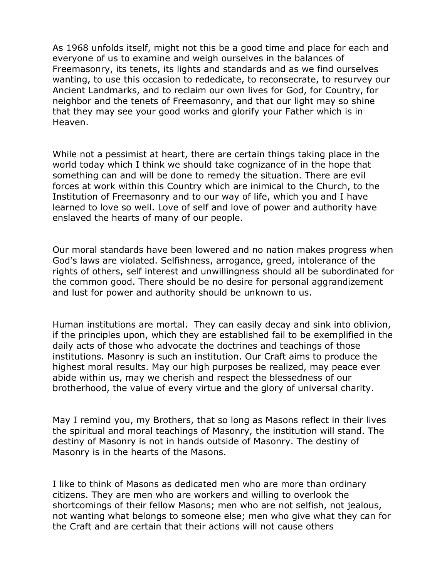As 1968 unfolds itself, might not this be a good time and place for each and everyone of us to examine and weigh ourselves in the balances of Freemasonry, its tenets, its lights and standards and as we find ourselves wanting, to use this occasion to rededicate, to reconsecrate, to resurvey our Ancient Landmarks, and to reclaim our own lives for God, for Country, for neighbor and the tenets of Freemasonry, and that our light may so shine that they may see your good works and glorify your Father which is in Heaven.

While not a pessimist at heart, there are certain things taking place in the world today which I think we should take cognizance of in the hope that something can and will be done to remedy the situation. There are evil forces at work within this Country which are inimical to the Church, to the Institution of Freemasonry and to our way of life, which you and I have learned to love so well. Love of self and love of power and authority have enslaved the hearts of many of our people.

Our moral standards have been lowered and no nation makes progress when God's laws are violated. Selfishness, arrogance, greed, intolerance of the rights of others, self interest and unwillingness should all be subordinated for the common good. There should be no desire for personal aggrandizement and lust for power and authority should be unknown to us.

Human institutions are mortal. They can easily decay and sink into oblivion, if the principles upon, which they are established fail to be exemplified in the daily acts of those who advocate the doctrines and teachings of those institutions. Masonry is such an institution. Our Craft aims to produce the highest moral results. May our high purposes be realized, may peace ever abide within us, may we cherish and respect the blessedness of our brotherhood, the value of every virtue and the glory of universal charity.

May I remind you, my Brothers, that so long as Masons reflect in their lives the spiritual and moral teachings of Masonry, the institution will stand. The destiny of Masonry is not in hands outside of Masonry. The destiny of Masonry is in the hearts of the Masons.

I like to think of Masons as dedicated men who are more than ordinary citizens. They are men who are workers and willing to overlook the shortcomings of their fellow Masons; men who are not selfish, not jealous, not wanting what belongs to someone else; men who give what they can for the Craft and are certain that their actions will not cause others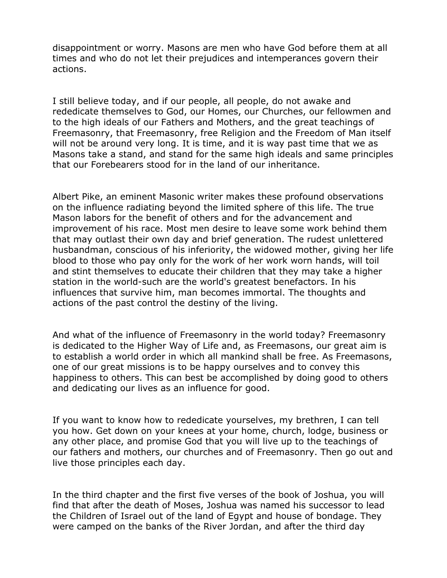disappointment or worry. Masons are men who have God before them at all times and who do not let their prejudices and intemperances govern their actions.

I still believe today, and if our people, all people, do not awake and rededicate themselves to God, our Homes, our Churches, our fellowmen and to the high ideals of our Fathers and Mothers, and the great teachings of Freemasonry, that Freemasonry, free Religion and the Freedom of Man itself will not be around very long. It is time, and it is way past time that we as Masons take a stand, and stand for the same high ideals and same principles that our Forebearers stood for in the land of our inheritance.

Albert Pike, an eminent Masonic writer makes these profound observations on the influence radiating beyond the limited sphere of this life. The true Mason labors for the benefit of others and for the advancement and improvement of his race. Most men desire to leave some work behind them that may outlast their own day and brief generation. The rudest unlettered husbandman, conscious of his inferiority, the widowed mother, giving her life blood to those who pay only for the work of her work worn hands, will toil and stint themselves to educate their children that they may take a higher station in the world-such are the world's greatest benefactors. In his influences that survive him, man becomes immortal. The thoughts and actions of the past control the destiny of the living.

And what of the influence of Freemasonry in the world today? Freemasonry is dedicated to the Higher Way of Life and, as Freemasons, our great aim is to establish a world order in which all mankind shall be free. As Freemasons, one of our great missions is to be happy ourselves and to convey this happiness to others. This can best be accomplished by doing good to others and dedicating our lives as an influence for good.

If you want to know how to rededicate yourselves, my brethren, I can tell you how. Get down on your knees at your home, church, lodge, business or any other place, and promise God that you will live up to the teachings of our fathers and mothers, our churches and of Freemasonry. Then go out and live those principles each day.

In the third chapter and the first five verses of the book of Joshua, you will find that after the death of Moses, Joshua was named his successor to lead the Children of Israel out of the land of Egypt and house of bondage. They were camped on the banks of the River Jordan, and after the third day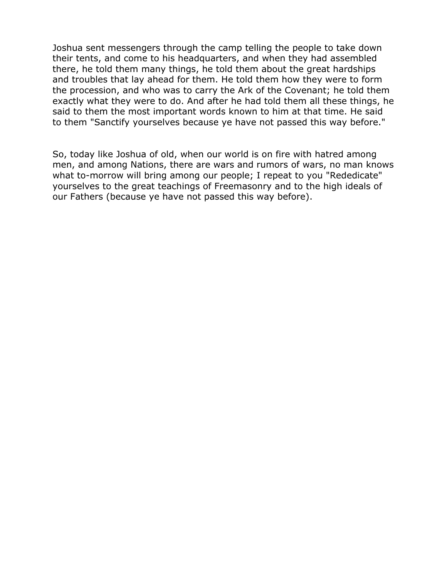Joshua sent messengers through the camp telling the people to take down their tents, and come to his headquarters, and when they had assembled there, he told them many things, he told them about the great hardships and troubles that lay ahead for them. He told them how they were to form the procession, and who was to carry the Ark of the Covenant; he told them exactly what they were to do. And after he had told them all these things, he said to them the most important words known to him at that time. He said to them "Sanctify yourselves because ye have not passed this way before."

So, today like Joshua of old, when our world is on fire with hatred among men, and among Nations, there are wars and rumors of wars, no man knows what to-morrow will bring among our people; I repeat to you "Rededicate" yourselves to the great teachings of Freemasonry and to the high ideals of our Fathers (because ye have not passed this way before).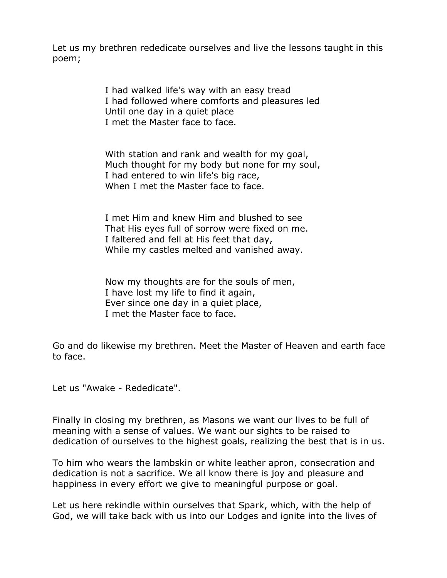Let us my brethren rededicate ourselves and live the lessons taught in this poem;

> I had walked life's way with an easy tread I had followed where comforts and pleasures led Until one day in a quiet place I met the Master face to face.

> With station and rank and wealth for my goal, Much thought for my body but none for my soul, I had entered to win life's big race, When I met the Master face to face.

I met Him and knew Him and blushed to see That His eyes full of sorrow were fixed on me. I faltered and fell at His feet that day, While my castles melted and vanished away.

Now my thoughts are for the souls of men, I have lost my life to find it again, Ever since one day in a quiet place, I met the Master face to face.

Go and do likewise my brethren. Meet the Master of Heaven and earth face to face.

Let us "Awake - Rededicate".

Finally in closing my brethren, as Masons we want our lives to be full of meaning with a sense of values. We want our sights to be raised to dedication of ourselves to the highest goals, realizing the best that is in us.

To him who wears the lambskin or white leather apron, consecration and dedication is not a sacrifice. We all know there is joy and pleasure and happiness in every effort we give to meaningful purpose or goal.

Let us here rekindle within ourselves that Spark, which, with the help of God, we will take back with us into our Lodges and ignite into the lives of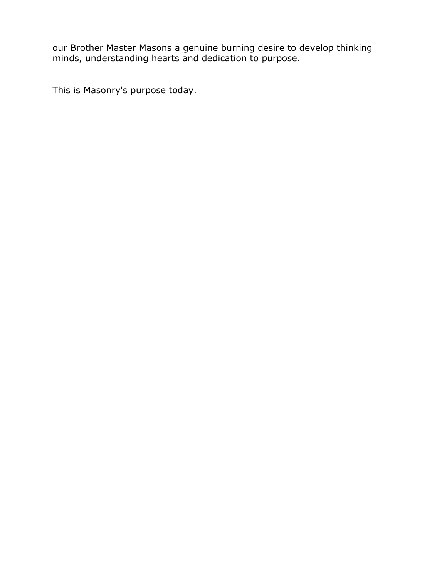our Brother Master Masons a genuine burning desire to develop thinking minds, understanding hearts and dedication to purpose.

This is Masonry's purpose today.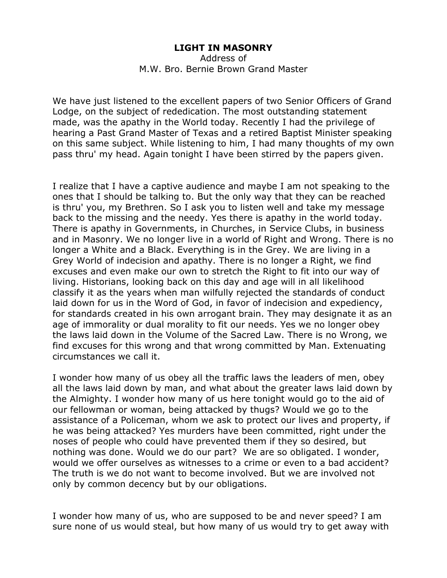## **LIGHT IN MASONRY**

Address of M.W. Bro. Bernie Brown Grand Master

We have just listened to the excellent papers of two Senior Officers of Grand Lodge, on the subject of rededication. The most outstanding statement made, was the apathy in the World today. Recently I had the privilege of hearing a Past Grand Master of Texas and a retired Baptist Minister speaking on this same subject. While listening to him, I had many thoughts of my own pass thru' my head. Again tonight I have been stirred by the papers given.

I realize that I have a captive audience and maybe I am not speaking to the ones that I should be talking to. But the only way that they can be reached is thru' you, my Brethren. So I ask you to listen well and take my message back to the missing and the needy. Yes there is apathy in the world today. There is apathy in Governments, in Churches, in Service Clubs, in business and in Masonry. We no longer live in a world of Right and Wrong. There is no longer a White and a Black. Everything is in the Grey. We are living in a Grey World of indecision and apathy. There is no longer a Right, we find excuses and even make our own to stretch the Right to fit into our way of living. Historians, looking back on this day and age will in all likelihood classify it as the years when man wilfully rejected the standards of conduct laid down for us in the Word of God, in favor of indecision and expediency, for standards created in his own arrogant brain. They may designate it as an age of immorality or dual morality to fit our needs. Yes we no longer obey the laws laid down in the Volume of the Sacred Law. There is no Wrong, we find excuses for this wrong and that wrong committed by Man. Extenuating circumstances we call it.

I wonder how many of us obey all the traffic laws the leaders of men, obey all the laws laid down by man, and what about the greater laws laid down by the Almighty. I wonder how many of us here tonight would go to the aid of our fellowman or woman, being attacked by thugs? Would we go to the assistance of a Policeman, whom we ask to protect our lives and property, if he was being attacked? Yes murders have been committed, right under the noses of people who could have prevented them if they so desired, but nothing was done. Would we do our part? We are so obligated. I wonder, would we offer ourselves as witnesses to a crime or even to a bad accident? The truth is we do not want to become involved. But we are involved not only by common decency but by our obligations.

I wonder how many of us, who are supposed to be and never speed? I am sure none of us would steal, but how many of us would try to get away with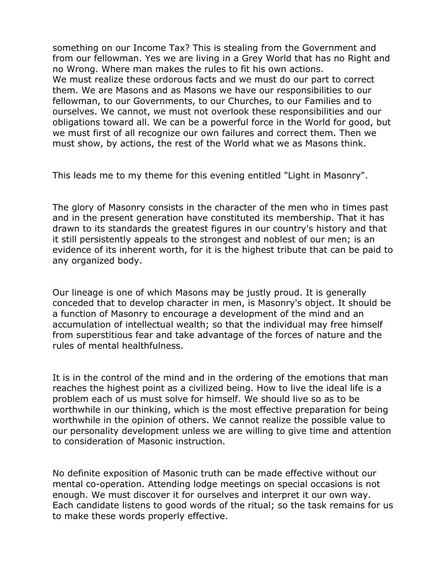something on our Income Tax? This is stealing from the Government and from our fellowman. Yes we are living in a Grey World that has no Right and no Wrong. Where man makes the rules to fit his own actions. We must realize these ordorous facts and we must do our part to correct them. We are Masons and as Masons we have our responsibilities to our fellowman, to our Governments, to our Churches, to our Families and to ourselves. We cannot, we must not overlook these responsibilities and our obligations toward all. We can be a powerful force in the World for good, but we must first of all recognize our own failures and correct them. Then we must show, by actions, the rest of the World what we as Masons think.

This leads me to my theme for this evening entitled "Light in Masonry".

The glory of Masonry consists in the character of the men who in times past and in the present generation have constituted its membership. That it has drawn to its standards the greatest figures in our country's history and that it still persistently appeals to the strongest and noblest of our men; is an evidence of its inherent worth, for it is the highest tribute that can be paid to any organized body.

Our lineage is one of which Masons may be justly proud. It is generally conceded that to develop character in men, is Masonry's object. It should be a function of Masonry to encourage a development of the mind and an accumulation of intellectual wealth; so that the individual may free himself from superstitious fear and take advantage of the forces of nature and the rules of mental healthfulness.

It is in the control of the mind and in the ordering of the emotions that man reaches the highest point as a civilized being. How to live the ideal life is a problem each of us must solve for himself. We should live so as to be worthwhile in our thinking, which is the most effective preparation for being worthwhile in the opinion of others. We cannot realize the possible value to our personality development unless we are willing to give time and attention to consideration of Masonic instruction.

No definite exposition of Masonic truth can be made effective without our mental co-operation. Attending lodge meetings on special occasions is not enough. We must discover it for ourselves and interpret it our own way. Each candidate listens to good words of the ritual; so the task remains for us to make these words properly effective.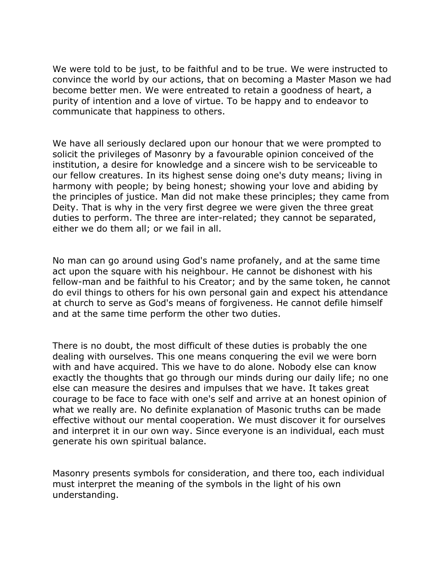We were told to be just, to be faithful and to be true. We were instructed to convince the world by our actions, that on becoming a Master Mason we had become better men. We were entreated to retain a goodness of heart, a purity of intention and a love of virtue. To be happy and to endeavor to communicate that happiness to others.

We have all seriously declared upon our honour that we were prompted to solicit the privileges of Masonry by a favourable opinion conceived of the institution, a desire for knowledge and a sincere wish to be serviceable to our fellow creatures. In its highest sense doing one's duty means; living in harmony with people; by being honest; showing your love and abiding by the principles of justice. Man did not make these principles; they came from Deity. That is why in the very first degree we were given the three great duties to perform. The three are inter-related; they cannot be separated, either we do them all; or we fail in all.

No man can go around using God's name profanely, and at the same time act upon the square with his neighbour. He cannot be dishonest with his fellow-man and be faithful to his Creator; and by the same token, he cannot do evil things to others for his own personal gain and expect his attendance at church to serve as God's means of forgiveness. He cannot defile himself and at the same time perform the other two duties.

There is no doubt, the most difficult of these duties is probably the one dealing with ourselves. This one means conquering the evil we were born with and have acquired. This we have to do alone. Nobody else can know exactly the thoughts that go through our minds during our daily life; no one else can measure the desires and impulses that we have. It takes great courage to be face to face with one's self and arrive at an honest opinion of what we really are. No definite explanation of Masonic truths can be made effective without our mental cooperation. We must discover it for ourselves and interpret it in our own way. Since everyone is an individual, each must generate his own spiritual balance.

Masonry presents symbols for consideration, and there too, each individual must interpret the meaning of the symbols in the light of his own understanding.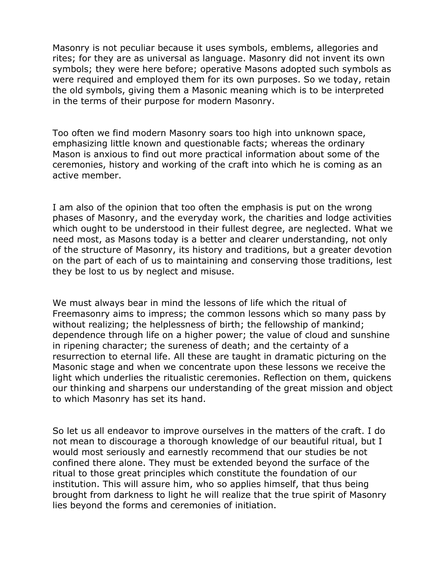Masonry is not peculiar because it uses symbols, emblems, allegories and rites; for they are as universal as language. Masonry did not invent its own symbols; they were here before; operative Masons adopted such symbols as were required and employed them for its own purposes. So we today, retain the old symbols, giving them a Masonic meaning which is to be interpreted in the terms of their purpose for modern Masonry.

Too often we find modern Masonry soars too high into unknown space, emphasizing little known and questionable facts; whereas the ordinary Mason is anxious to find out more practical information about some of the ceremonies, history and working of the craft into which he is coming as an active member.

I am also of the opinion that too often the emphasis is put on the wrong phases of Masonry, and the everyday work, the charities and lodge activities which ought to be understood in their fullest degree, are neglected. What we need most, as Masons today is a better and clearer understanding, not only of the structure of Masonry, its history and traditions, but a greater devotion on the part of each of us to maintaining and conserving those traditions, lest they be lost to us by neglect and misuse.

We must always bear in mind the lessons of life which the ritual of Freemasonry aims to impress; the common lessons which so many pass by without realizing; the helplessness of birth; the fellowship of mankind; dependence through life on a higher power; the value of cloud and sunshine in ripening character; the sureness of death; and the certainty of a resurrection to eternal life. All these are taught in dramatic picturing on the Masonic stage and when we concentrate upon these lessons we receive the light which underlies the ritualistic ceremonies. Reflection on them, quickens our thinking and sharpens our understanding of the great mission and object to which Masonry has set its hand.

So let us all endeavor to improve ourselves in the matters of the craft. I do not mean to discourage a thorough knowledge of our beautiful ritual, but I would most seriously and earnestly recommend that our studies be not confined there alone. They must be extended beyond the surface of the ritual to those great principles which constitute the foundation of our institution. This will assure him, who so applies himself, that thus being brought from darkness to light he will realize that the true spirit of Masonry lies beyond the forms and ceremonies of initiation.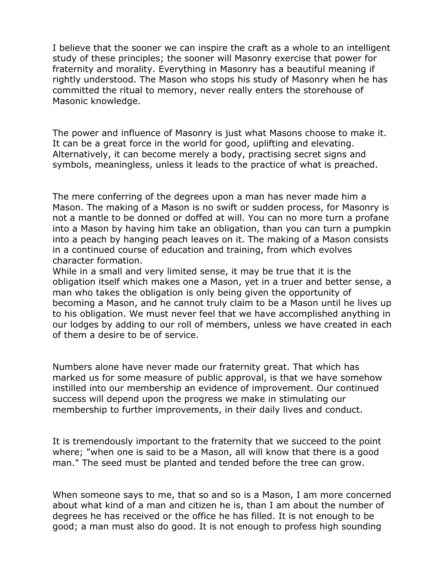I believe that the sooner we can inspire the craft as a whole to an intelligent study of these principles; the sooner will Masonry exercise that power for fraternity and morality. Everything in Masonry has a beautiful meaning if rightly understood. The Mason who stops his study of Masonry when he has committed the ritual to memory, never really enters the storehouse of Masonic knowledge.

The power and influence of Masonry is just what Masons choose to make it. It can be a great force in the world for good, uplifting and elevating. Alternatively, it can become merely a body, practising secret signs and symbols, meaningless, unless it leads to the practice of what is preached.

The mere conferring of the degrees upon a man has never made him a Mason. The making of a Mason is no swift or sudden process, for Masonry is not a mantle to be donned or doffed at will. You can no more turn a profane into a Mason by having him take an obligation, than you can turn a pumpkin into a peach by hanging peach leaves on it. The making of a Mason consists in a continued course of education and training, from which evolves character formation.

While in a small and very limited sense, it may be true that it is the obligation itself which makes one a Mason, yet in a truer and better sense, a man who takes the obligation is only being given the opportunity of becoming a Mason, and he cannot truly claim to be a Mason until he lives up to his obligation. We must never feel that we have accomplished anything in our lodges by adding to our roll of members, unless we have created in each of them a desire to be of service.

Numbers alone have never made our fraternity great. That which has marked us for some measure of public approval, is that we have somehow instilled into our membership an evidence of improvement. Our continued success will depend upon the progress we make in stimulating our membership to further improvements, in their daily lives and conduct.

It is tremendously important to the fraternity that we succeed to the point where; "when one is said to be a Mason, all will know that there is a good man." The seed must be planted and tended before the tree can grow.

When someone says to me, that so and so is a Mason, I am more concerned about what kind of a man and citizen he is, than I am about the number of degrees he has received or the office he has filled. It is not enough to be good; a man must also do good. It is not enough to profess high sounding